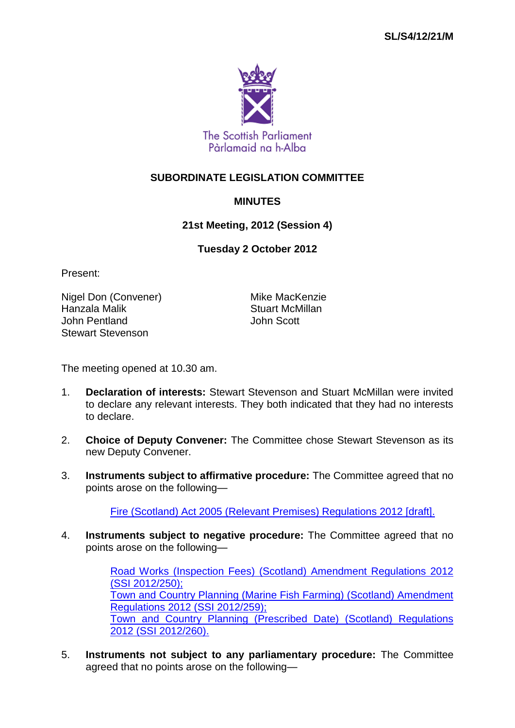

## **SUBORDINATE LEGISLATION COMMITTEE**

## **MINUTES**

**21st Meeting, 2012 (Session 4)**

**Tuesday 2 October 2012**

Present:

Nigel Don (Convener) Mike MacKenzie Hanzala Malik Stuart McMillan John Pentland John Scott Stewart Stevenson

The meeting opened at 10.30 am.

- 1. **Declaration of interests:** Stewart Stevenson and Stuart McMillan were invited to declare any relevant interests. They both indicated that they had no interests to declare.
- 2. **Choice of Deputy Convener:** The Committee chose Stewart Stevenson as its new Deputy Convener.
- 3. **Instruments subject to affirmative procedure:** The Committee agreed that no points arose on the following—

[Fire \(Scotland\) Act 2005 \(Relevant Premises\) Regulations 2012 \[draft\].](http://www.legislation.gov.uk/sdsi/2012/9780111017944/contents)

4. **Instruments subject to negative procedure:** The Committee agreed that no points arose on the following—

> [Road Works \(Inspection Fees\) \(Scotland\) Amendment Regulations 2012](http://www.legislation.gov.uk/ssi/2012/250/contents/made)  (SSI [2012/250\);](http://www.legislation.gov.uk/ssi/2012/250/contents/made) [Town and Country Planning \(Marine Fish Farming\) \(Scotland\) Amendment](http://www.legislation.gov.uk/ssi/2012/259/contents/made)  [Regulations 2012 \(SSI](http://www.legislation.gov.uk/ssi/2012/259/contents/made) 2012/259); [Town and Country Planning \(Prescribed Date\) \(Scotland\) Regulations](http://www.legislation.gov.uk/ssi/2012/260/contents/made)  2012 (SSI [2012/260\).](http://www.legislation.gov.uk/ssi/2012/260/contents/made)

5. **Instruments not subject to any parliamentary procedure:** The Committee agreed that no points arose on the following